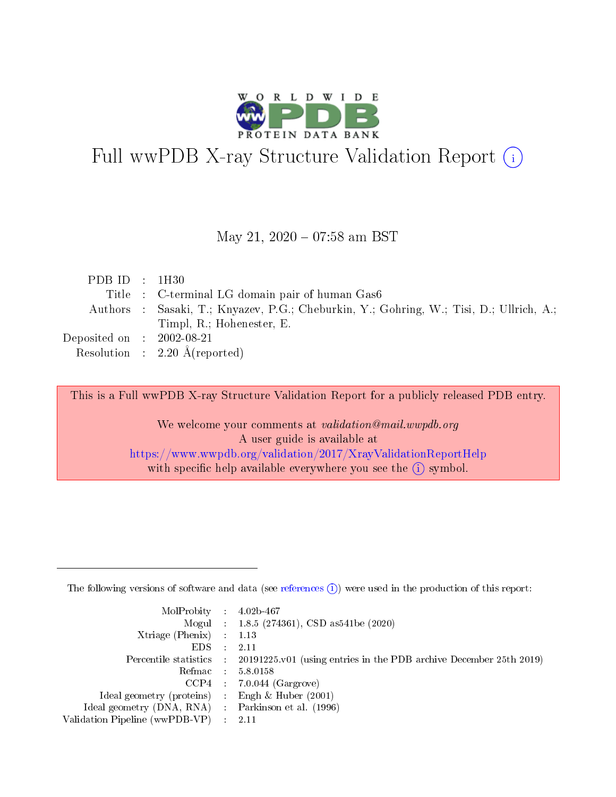

# Full wwPDB X-ray Structure Validation Report (i)

#### May 21,  $2020 - 07:58$  am BST

| PDB ID : $1H30$                     |                                                                                         |
|-------------------------------------|-----------------------------------------------------------------------------------------|
|                                     | Title : C-terminal LG domain pair of human Gas6                                         |
|                                     | Authors : Sasaki, T.; Knyazev, P.G.; Cheburkin, Y.; Gohring, W.; Tisi, D.; Ullrich, A.; |
|                                     | Timpl, R.; Hohenester, E.                                                               |
| Deposited on $\;$ : 2002-08-21 $\;$ |                                                                                         |
|                                     | Resolution : $2.20 \text{ Å}$ (reported)                                                |

This is a Full wwPDB X-ray Structure Validation Report for a publicly released PDB entry.

We welcome your comments at validation@mail.wwpdb.org A user guide is available at <https://www.wwpdb.org/validation/2017/XrayValidationReportHelp> with specific help available everywhere you see the  $(i)$  symbol.

The following versions of software and data (see [references](https://www.wwpdb.org/validation/2017/XrayValidationReportHelp#references)  $(1)$ ) were used in the production of this report:

| $MolProbability$ : 4.02b-467                      |                              |                                                                                            |
|---------------------------------------------------|------------------------------|--------------------------------------------------------------------------------------------|
|                                                   |                              | Mogul : 1.8.5 (274361), CSD as 541be (2020)                                                |
| Xtriage (Phenix) $: 1.13$                         |                              |                                                                                            |
| EDS –                                             | $\sim$                       | -2.11                                                                                      |
|                                                   |                              | Percentile statistics : 20191225.v01 (using entries in the PDB archive December 25th 2019) |
| Refmac : 5.8.0158                                 |                              |                                                                                            |
| CCP4                                              |                              | $7.0.044$ (Gargrove)                                                                       |
| Ideal geometry (proteins)                         | $\mathcal{L}_{\mathrm{eff}}$ | Engh & Huber $(2001)$                                                                      |
| Ideal geometry (DNA, RNA) Parkinson et al. (1996) |                              |                                                                                            |
| Validation Pipeline (wwPDB-VP) : 2.11             |                              |                                                                                            |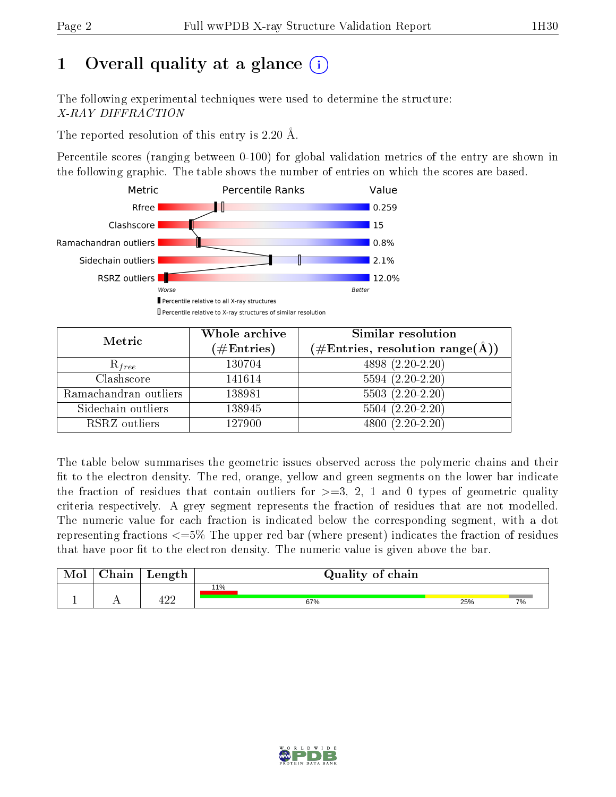# 1 [O](https://www.wwpdb.org/validation/2017/XrayValidationReportHelp#overall_quality)verall quality at a glance  $(i)$

The following experimental techniques were used to determine the structure: X-RAY DIFFRACTION

The reported resolution of this entry is 2.20 Å.

Percentile scores (ranging between 0-100) for global validation metrics of the entry are shown in the following graphic. The table shows the number of entries on which the scores are based.



| Metric                | Whole archive        | Similar resolution                                                     |  |  |
|-----------------------|----------------------|------------------------------------------------------------------------|--|--|
|                       | $(\#\text{Entries})$ | $(\#\text{Entries},\,\text{resolution}\,\,\text{range}(\textup{\AA}))$ |  |  |
| $R_{free}$            | 130704               | 4898 (2.20-2.20)                                                       |  |  |
| Clashscore            | 141614               | $5594(2.20-2.20)$                                                      |  |  |
| Ramachandran outliers | 138981               | $5503(2.20-2.20)$                                                      |  |  |
| Sidechain outliers    | 138945               | $5504(2.20-2.20)$                                                      |  |  |
| RSRZ outliers         | 127900               | $4800(2.20-2.20)$                                                      |  |  |

The table below summarises the geometric issues observed across the polymeric chains and their fit to the electron density. The red, orange, yellow and green segments on the lower bar indicate the fraction of residues that contain outliers for  $>=3, 2, 1$  and 0 types of geometric quality criteria respectively. A grey segment represents the fraction of residues that are not modelled. The numeric value for each fraction is indicated below the corresponding segment, with a dot representing fractions  $\epsilon=5\%$  The upper red bar (where present) indicates the fraction of residues that have poor fit to the electron density. The numeric value is given above the bar.

| Mol       | $\Delta$ hain | Length | Quality of chain |     |    |  |  |
|-----------|---------------|--------|------------------|-----|----|--|--|
| <u>д.</u> | . .           | 10c    | 11%<br>67%       | 25% | 7% |  |  |

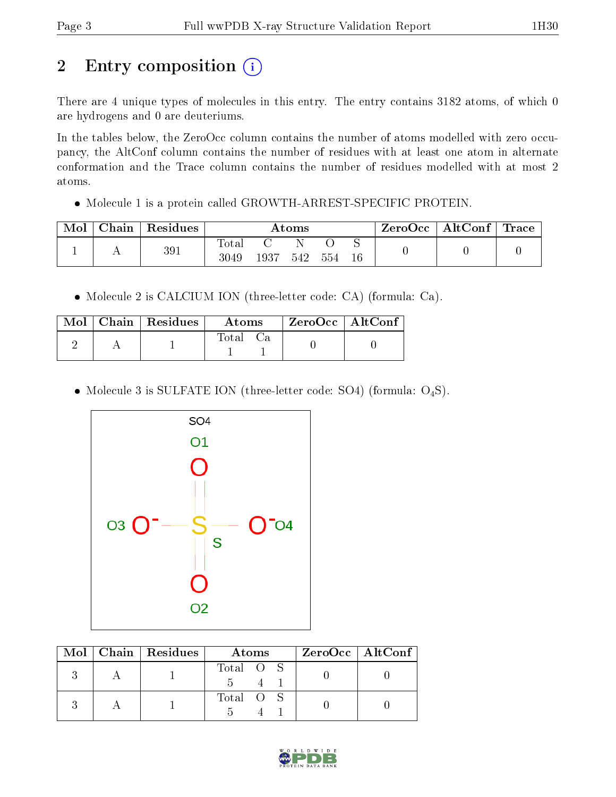# 2 Entry composition (i)

There are 4 unique types of molecules in this entry. The entry contains 3182 atoms, of which 0 are hydrogens and 0 are deuteriums.

In the tables below, the ZeroOcc column contains the number of atoms modelled with zero occupancy, the AltConf column contains the number of residues with at least one atom in alternate conformation and the Trace column contains the number of residues modelled with at most 2 atoms.

Molecule 1 is a protein called GROWTH-ARREST-SPECIFIC PROTEIN.

| Mol | Chain | Residues | Atoms         |      |     |     | $\text{ZeroOcc} \mid \text{AltConf} \mid \text{Trace} \mid$ |  |  |
|-----|-------|----------|---------------|------|-----|-----|-------------------------------------------------------------|--|--|
|     |       | 391      | Totar<br>3049 | 1937 | 542 | 554 | 16                                                          |  |  |

Molecule 2 is CALCIUM ION (three-letter code: CA) (formula: Ca).

|  | $\text{Mol}$   Chain   Residues | Atoms | ZeroOcc   AltConf |  |
|--|---------------------------------|-------|-------------------|--|
|  |                                 | Total |                   |  |

• Molecule 3 is SULFATE ION (three-letter code: SO4) (formula:  $O_4S$ ).



|  | $Mol$   Chain   Residues | Atoms     | $ZeroOcc$   AltConf |
|--|--------------------------|-----------|---------------------|
|  |                          | Total O S |                     |
|  |                          | Total O S |                     |

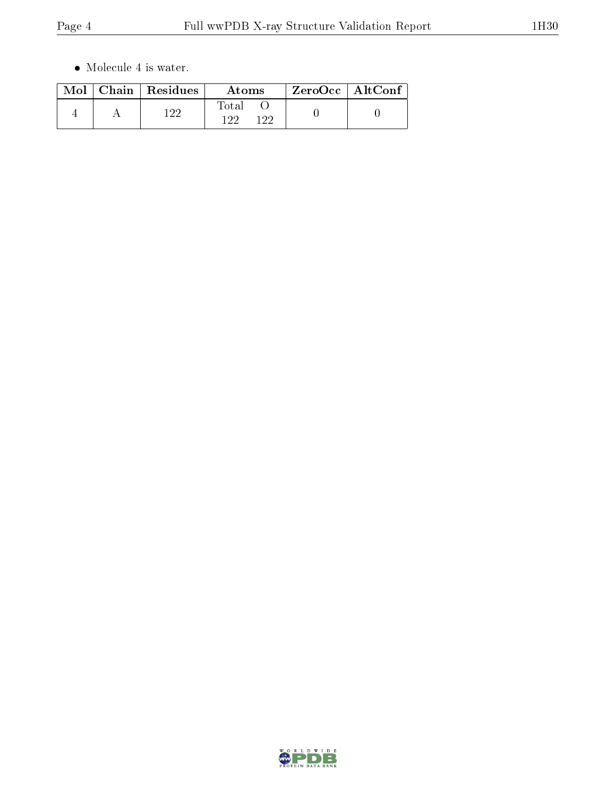$\bullet\,$  Molecule 4 is water.

| Mol | Chain   Residues | Atoms                 | $ZeroOcc \   \ AltConf$ |  |
|-----|------------------|-----------------------|-------------------------|--|
|     | 1 ດດ             | Total<br>1 ດດ<br>1 ດດ |                         |  |

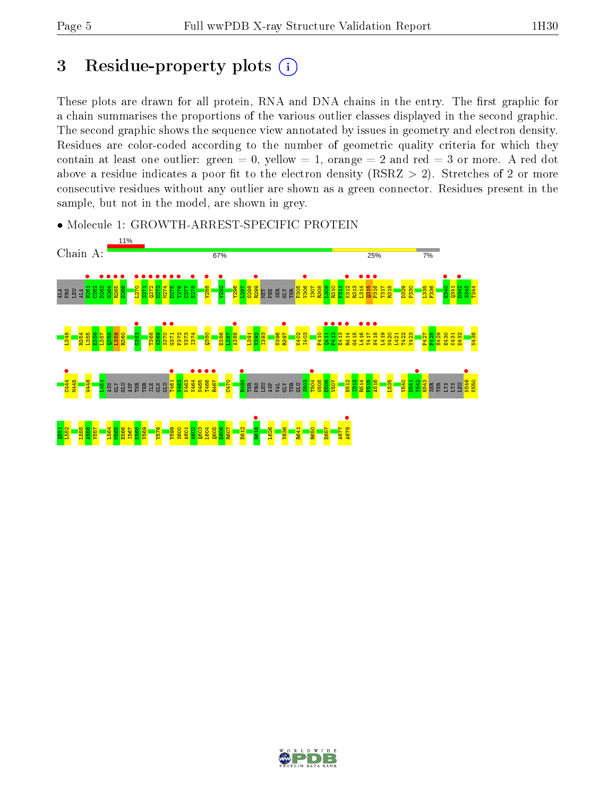# 3 Residue-property plots  $(i)$

These plots are drawn for all protein, RNA and DNA chains in the entry. The first graphic for a chain summarises the proportions of the various outlier classes displayed in the second graphic. The second graphic shows the sequence view annotated by issues in geometry and electron density. Residues are color-coded according to the number of geometric quality criteria for which they contain at least one outlier: green  $= 0$ , yellow  $= 1$ , orange  $= 2$  and red  $= 3$  or more. A red dot above a residue indicates a poor fit to the electron density (RSRZ  $> 2$ ). Stretches of 2 or more consecutive residues without any outlier are shown as a green connector. Residues present in the sample, but not in the model, are shown in grey.



• Molecule 1: GROWTH-ARREST-SPECIFIC PROTEIN

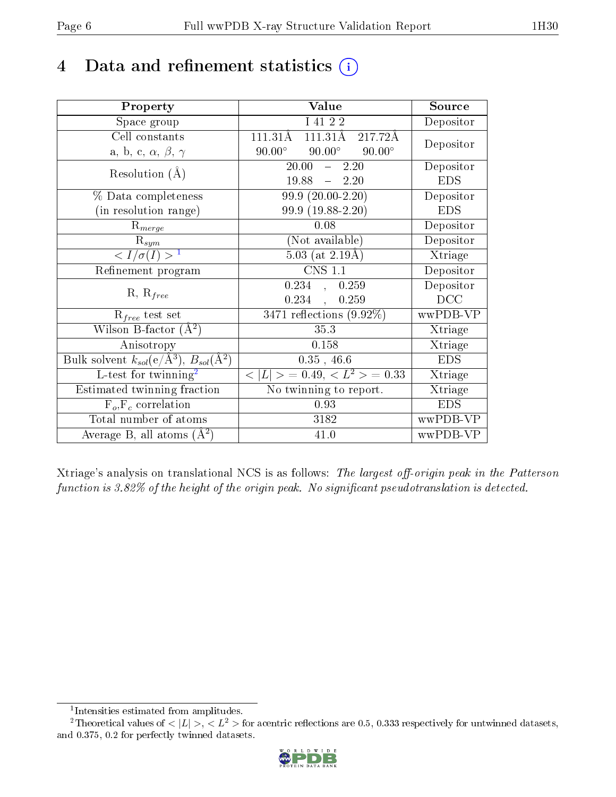# 4 Data and refinement statistics  $(i)$

| Property                                                         | Value                                             | Source     |
|------------------------------------------------------------------|---------------------------------------------------|------------|
| Space group                                                      | I 41 2 2                                          | Depositor  |
| Cell constants                                                   | $111.31\overline{\text{A}}$<br>217.72Å<br>111.31Å | Depositor  |
| a, b, c, $\alpha$ , $\beta$ , $\gamma$                           | $90.00^{\circ}$<br>$90.00^\circ$<br>$90.00^\circ$ |            |
| Resolution $(A)$                                                 | 20.00<br>$-2.20$                                  | Depositor  |
|                                                                  | $-2.20$<br>19.88                                  | <b>EDS</b> |
| % Data completeness                                              | $99.9(20.00-2.20)$                                | Depositor  |
| (in resolution range)                                            | 99.9 (19.88-2.20)                                 | <b>EDS</b> |
| $R_{merge}$                                                      | 0.08                                              | Depositor  |
| $\mathrm{R}_{sym}$                                               | (Not available)                                   | Depositor  |
| $\sqrt{I/\sigma}(I) > 1$                                         | $5.03$ (at 2.19Å)                                 | Xtriage    |
| Refinement program                                               | $\overline{\text{CNS} 1.1}$                       | Depositor  |
|                                                                  | 0.234, 0.259                                      | Depositor  |
| $R, R_{free}$                                                    | 0.234<br>0.259<br>$\frac{1}{2}$                   | DCC        |
| $R_{free}$ test set                                              | $3471$ reflections $(9.92\%)$                     | wwPDB-VP   |
| Wilson B-factor $(A^2)$                                          | 35.3                                              | Xtriage    |
| Anisotropy                                                       | 0.158                                             | Xtriage    |
| Bulk solvent $k_{sol}(\text{e}/\text{A}^3), B_{sol}(\text{A}^2)$ | $0.35$ , 46.6                                     | <b>EDS</b> |
| L-test for $\mathrm{twinning}^2$                                 | $< L >$ = 0.49, $< L2$ = 0.33                     | Xtriage    |
| Estimated twinning fraction                                      | No twinning to report.                            | Xtriage    |
| $F_o, F_c$ correlation                                           | 0.93                                              | <b>EDS</b> |
| Total number of atoms                                            | 3182                                              | wwPDB-VP   |
| Average B, all atoms $(A^2)$                                     | 41.0                                              | wwPDB-VP   |

Xtriage's analysis on translational NCS is as follows: The largest off-origin peak in the Patterson function is  $3.82\%$  of the height of the origin peak. No significant pseudotranslation is detected.

<sup>&</sup>lt;sup>2</sup>Theoretical values of  $\langle |L| \rangle$ ,  $\langle L^2 \rangle$  for acentric reflections are 0.5, 0.333 respectively for untwinned datasets, and 0.375, 0.2 for perfectly twinned datasets.



<span id="page-5-1"></span><span id="page-5-0"></span><sup>1</sup> Intensities estimated from amplitudes.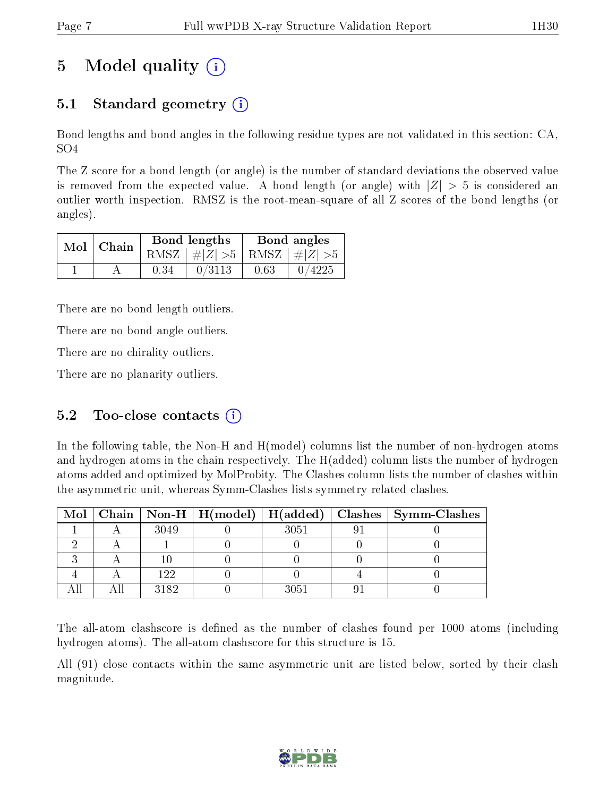# 5 Model quality  $(i)$

## 5.1 Standard geometry  $(i)$

Bond lengths and bond angles in the following residue types are not validated in this section: CA, SO4

The Z score for a bond length (or angle) is the number of standard deviations the observed value is removed from the expected value. A bond length (or angle) with  $|Z| > 5$  is considered an outlier worth inspection. RMSZ is the root-mean-square of all Z scores of the bond lengths (or angles).

|  | $Mol$   Chain |      | Bond lengths                    | Bond angles |        |  |
|--|---------------|------|---------------------------------|-------------|--------|--|
|  |               |      | RMSZ $ #Z  > 5$ RMSZ $ #Z  > 5$ |             |        |  |
|  |               | 0.34 | 0/3113                          | 0.63        | 0/4225 |  |

There are no bond length outliers.

There are no bond angle outliers.

There are no chirality outliers.

There are no planarity outliers.

### 5.2 Too-close contacts  $(i)$

In the following table, the Non-H and H(model) columns list the number of non-hydrogen atoms and hydrogen atoms in the chain respectively. The H(added) column lists the number of hydrogen atoms added and optimized by MolProbity. The Clashes column lists the number of clashes within the asymmetric unit, whereas Symm-Clashes lists symmetry related clashes.

|  |      |      | Mol   Chain   Non-H   H(model)   H(added)   Clashes   Symm-Clashes |
|--|------|------|--------------------------------------------------------------------|
|  | 3049 | 3051 |                                                                    |
|  |      |      |                                                                    |
|  |      |      |                                                                    |
|  | 122  |      |                                                                    |
|  | 3182 | 3051 |                                                                    |

The all-atom clashscore is defined as the number of clashes found per 1000 atoms (including hydrogen atoms). The all-atom clashscore for this structure is 15.

All (91) close contacts within the same asymmetric unit are listed below, sorted by their clash magnitude.

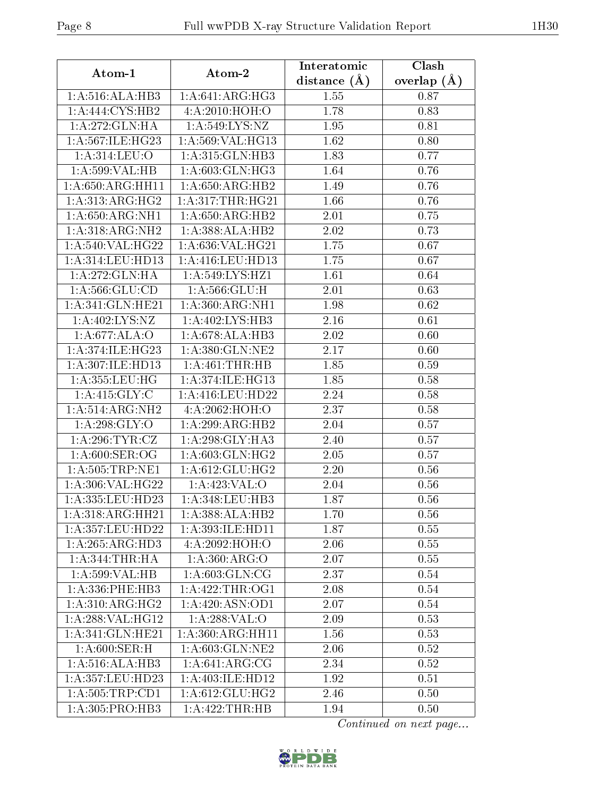| Atom-1              | Atom-2                         | Interatomic      | Clash         |
|---------------------|--------------------------------|------------------|---------------|
|                     |                                | distance $(\AA)$ | overlap $(A)$ |
| 1:A:516:ALA:HB3     | 1: A:641: ARG: HG3             | 1.55             | 0.87          |
| 1:A:444:CYS:HB2     | 4: A:2010:HOH:O                | 1.78             | 0.83          |
| 1:A:272:GLN:HA      | 1:A:549:LYS:NZ                 | 1.95             | 0.81          |
| 1:A:567:ILE:HG23    | 1:A:569:VAL:HG13               | 1.62             | 0.80          |
| 1: A:314: LEU:O     | 1:A:315:GLN:HB3                | 1.83             | 0.77          |
| 1:A:599:VAL:HB      | 1: A:603: GLN: HG3             | 1.64             | 0.76          |
| 1: A:650:ARG:HH11   | 1:A:650:ARG:HB2                | 1.49             | 0.76          |
| 1: A: 313: ARG: HG2 | 1: A:317:THR:HG21              | 1.66             | 0.76          |
| 1: A:650: ARG: NH1  | 1: A:650: ARG:HB2              | 2.01             | 0.75          |
| 1:A:318:ARG:NH2     | 1:A:388:ALA:HB2                | 2.02             | 0.73          |
| 1:A:540:VAL:HG22    | 1: A:636: VAL:HG21             | 1.75             | 0.67          |
| 1:A:314:LEU:HD13    | 1:A:416:LEU:HD13               | 1.75             | 0.67          |
| 1:A:272:GLN:HA      | 1:A:549:LYS:HZ1                | 1.61             | 0.64          |
| 1: A: 566: GLU: CD  | 1: A:566: GLU: H               | 2.01             | 0.63          |
| 1:A:341:GLN:HE21    | 1: A:360:ARG:NH1               | 1.98             | 0.62          |
| 1:A:402:LYS:NZ      | 1:A:402:LYS:HB3                | 2.16             | 0.61          |
| 1:A:677:ALA:O       | 1:A:678:ALA:HB3                | 2.02             | 0.60          |
| 1: A:374: ILE: HG23 | 1: A:380: GLN: NE2             | 2.17             | 0.60          |
| 1:A:307:ILE:HD13    | 1:A:461:THR:HB                 | 1.85             | 0.59          |
| 1: A: 355: LEU: HG  | 1: A:374: ILE: HG13            | 1.85             | 0.58          |
| 1: A:415: GLY: C    | 1: A:416:LEU:HD22              | 2.24             | 0.58          |
| 1:A:514:ARG:NH2     | 4:A:2062:HOH:O                 | 2.37             | 0.58          |
| 1:A:298:GLY:O       | 1:A:299:ARG:HB2                | 2.04             | 0.57          |
| 1: A:296:TYR:CZ     | 1:A:298:GLY:HA3                | 2.40             | 0.57          |
| 1: A:600: SER:OG    | 1: A:603: GLN: HG2             | 2.05             | 0.57          |
| 1: A: 505: TRP: NE1 | 1:A:612:GLU:HG2                | 2.20             | 0.56          |
| 1: A:306: VAL:HG22  | 1:A:423:VAL:O                  | 2.04             | 0.56          |
| 1:A:335:LEU:HD23    | 1:A:348:LEU:HB3                | 1.87             | 0.56          |
| 1:A:318:ARG:HH21    | 1:A:388:ALA:HB2                | 1.70             | 0.56          |
| 1:A:357:LEU:HD22    | 1: A: 393: ILE: HD11           | 1.87             | 0.55          |
| 1:A:265:ARG:HD3     | 4:A:2092:HOH:O                 | 2.06             | 0.55          |
| 1: A:344:THR:HA     | 1: A:360:ARG:O                 | 2.07             | 0.55          |
| 1:A:599:VAL:HB      | 1: A:603: GLN:CG               | 2.37             | 0.54          |
| 1: A: 336: PHE: HB3 | 1: A:422:THR:OG1               | 2.08             | 0.54          |
| 1:A:310:ARG:HG2     | 1: A:420: ASN:OD1              | 2.07             | 0.54          |
| 1: A:288: VAL:HG12  | 1:A:288:VAL:O                  | 2.09             | 0.53          |
| 1:A:341:GLN:HE21    | 1: A:360:ARG:HH11              | 1.56             | 0.53          |
| 1: A:600: SER:H     | 1: A:603: GLN:NE2              | 2.06             | 0.52          |
| 1:A:516:ALA:HB3     | 1: A:641: ARG: CG              | 2.34             | 0.52          |
| 1:A:357:LEU:HD23    | 1:A:403:ILE:HD12               | 1.92             | 0.51          |
| 1: A:505:TRP:CD1    | $1: A:612: \overline{GLU:HG2}$ | 2.46             | 0.50          |
| 1:A:305:PRO:HB3     | 1:A:422:THR:HB                 | 1.94             | 0.50          |

Continued on next page...

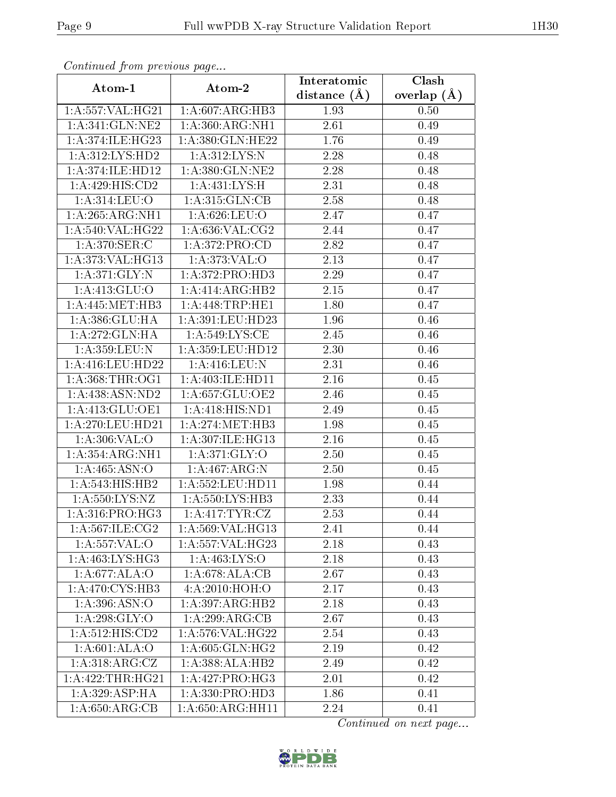| Commuca from previous page      |                                      | Interatomic       | Clash           |
|---------------------------------|--------------------------------------|-------------------|-----------------|
| Atom-1                          | Atom-2                               | distance $(\AA)$  | overlap $(\AA)$ |
| 1:A:557:VAL:HG21                | 1:A:607:ARG:HB3                      | 1.93              | 0.50            |
| 1:A:341:GLN:NE2                 | 1: A:360:ARG:NH1                     | 2.61              | 0.49            |
| 1: A:374: ILE: HG23             | 1:A:380:GLN:HE22                     | 1.76              | 0.49            |
| 1: A:312: LYS: HD2              | 1:A:312:LYS:N                        | 2.28              | 0.48            |
| 1:A:374:ILE:HD12                | 1: A:380: GLN: NE2                   | 2.28              | 0.48            |
| 1:A:429:HIS:CD2                 | 1:A:431:LYS:H                        | 2.31              | 0.48            |
| 1: A:314: LEU:O                 | 1: A:315: GLN: CB                    | 2.58              | 0.48            |
| 1:A:265:ARG:NH1                 | 1: A:626:LEU:O                       | 2.47              | 0.47            |
| 1:A:540:VAL:HG22                | 1: A:636: VAL:CG2                    | 2.44              | 0.47            |
| 1:A:370:SER:C                   | 1: A:372: PRO:CD                     | 2.82              | 0.47            |
| 1:A:373:VAL:HG13                | 1: A:373: VAL:O                      | 2.13              | 0.47            |
| 1: A:371: GLY:N                 | 1: A:372: PRO:HD3                    | 2.29              | 0.47            |
| 1: A: 413: GLU: O               | 1:A:414:ARG:HB2                      | 2.15              | 0.47            |
| 1: A:445: MET:HB3               | 1: A:448:TRP:HE1                     | 1.80              | 0.47            |
| 1:A:386:GLU:HA                  | $1:\overline{A}:391:\text{LEU}:HD23$ | 1.96              | 0.46            |
| 1:A:272:GLN:HA                  | 1: A:549: LYS: CE                    | 2.45              | 0.46            |
| 1:A:359:LEU:N                   | 1:A:359:LEU:HD12                     | 2.30              | 0.46            |
| 1: A:416:LEU:HD22               | 1: A:416: LEU: N                     | 2.31              | 0.46            |
| 1: A: 368: THR: OG1             | 1: A:403: ILE: HD11                  | 2.16              | 0.45            |
| 1: A: 438: ASN: ND2             | 1: A:657: GLU:OE2                    | 2.46              | 0.45            |
| 1: A:413: GLU:OE1               | 1:A:418:HIS:ND1                      | $\overline{2}.49$ | 0.45            |
| 1: A:270:LEU:HD21               | 1: A:274:MET:HB3                     | 1.98              | 0.45            |
| 1:A:306:VAL:O                   | 1:A:307:ILE:HG13                     | 2.16              | 0.45            |
| 1:A:354:ARG:NH1                 | 1: A:371: GLY:O                      | <b>2.50</b>       | 0.45            |
| 1:A:465:ASN:O                   | 1:A:467:ARG:N                        | 2.50              | 0.45            |
| 1: A: 543: HIS: HB2             | 1:A:552:LEU:HD11                     | 1.98              | 0.44            |
| 1: A: 550: LYS: NZ              | 1:A:550:LYS:HB3                      | 2.33              | 0.44            |
| 1: A:316: PRO:HG3               | 1: A: 417: TYR: CZ                   | 2.53              | 0.44            |
| $1: A:567: ILE: \overline{CG2}$ | 1:A:569:VAL:HG13                     | 2.41              | 0.44            |
| 1: A: 557: VAL: O               | 1:A:557:VAL:HG23                     | 2.18              | 0.43            |
| $1:A:46\overline{3:LYS:HG3}$    | 1: A: 463: LYS: O                    | 2.18              | 0.43            |
| 1: A:677: ALA:O                 | 1:A:678:ALA:CB                       | 2.67              | 0.43            |
| 1: A:470: CYS:HB3               | 4:A:2010:HOH:O                       | 2.17              | 0.43            |
| 1: A:396: ASN:O                 | 1:A:397:ARG:HB2                      | 2.18              | 0.43            |
| 1: A:298: GLY:O                 | 1:A:299:ARG:CB                       | 2.67              | 0.43            |
| 1: A: 512: HIS: CD2             | 1:A:576:VAL:HG22                     | 2.54              | 0.43            |
| 1: A:601: ALA:O                 | 1: A:605: GLN: HG2                   | 2.19              | 0.42            |
| 1: A:318: ARG: CZ               | 1:A:388:ALA:HB2                      | 2.49              | 0.42            |
| 1:A:422:THR:HG21                | 1:A:427:PRO:HG3                      | 2.01              | 0.42            |
| 1: A:329: ASP:HA                | 1:A:330:PRO:HD3                      | 1.86              | 0.41            |
| 1: A:650:ARG:CB                 | 1:A:650:ARG:HH11                     | 2.24              | 0.41            |

Continued from previous page.

Continued on next page...

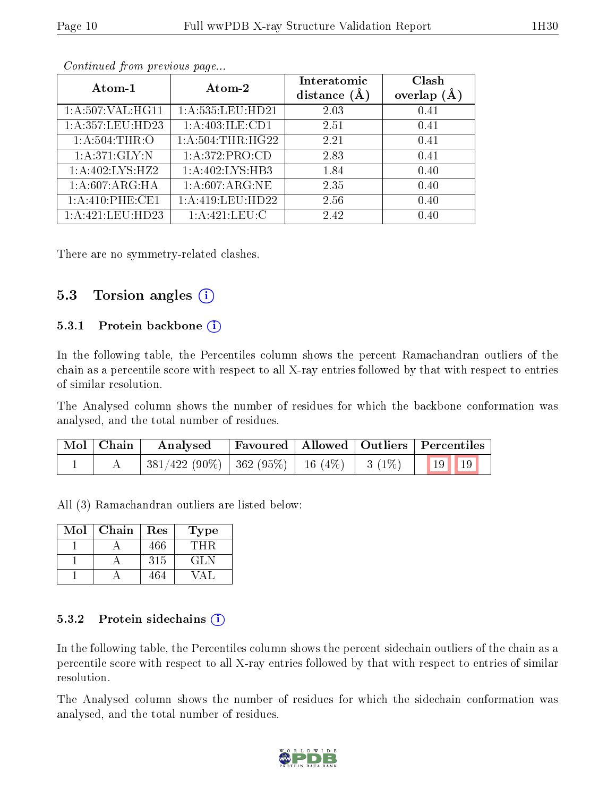|--|

| Atom-1             | Atom-2              | Interatomic<br>distance $(A)$ | Clash<br>overlap $(A)$ |
|--------------------|---------------------|-------------------------------|------------------------|
| 1: A:507: VAL:HGI1 | 1:A:535:LEU:HD21    | 2.03                          | 0.41                   |
| 1:A:357:LEU:HD23   | 1:A:403:ILE:CD1     | 2.51                          | 0.41                   |
| 1: A:504:THR:O     | 1: A: 504:THR: HG22 | 2.21                          | 0.41                   |
| 1:A:371:GLY:N      | 1:A:372:PRO:CD      | 2.83                          | 0.41                   |
| 1:A:402:LYS:HZ2    | 1:A:402:LYS:HB3     | 1.84                          | 0.40                   |
| 1:A:607:ARG:HA     | 1:A:607:ARG:NE      | 2.35                          | 0.40                   |
| 1: A:410: PHE:CE1  | 1:A:419:LEU:HD22    | 2.56                          | 0.40                   |
| 1:A:421:LEU:HD23   | 1:A:421:LEU:C       | 2.42                          | 0.40                   |

Continued from previous page...

There are no symmetry-related clashes.

### 5.3 Torsion angles  $(i)$

#### 5.3.1 Protein backbone (i)

In the following table, the Percentiles column shows the percent Ramachandran outliers of the chain as a percentile score with respect to all X-ray entries followed by that with respect to entries of similar resolution.

The Analysed column shows the number of residues for which the backbone conformation was analysed, and the total number of residues.

| $\mid$ Mol $\mid$ Chain $\mid$ | Analysed                                                    |  | Favoured   Allowed   Outliers   Percentiles |
|--------------------------------|-------------------------------------------------------------|--|---------------------------------------------|
|                                | $\mid$ 381/422 (90%)   362 (95%)   16 (4%)   3 (1%)   19 19 |  |                                             |

All (3) Ramachandran outliers are listed below:

| Mol | Chain | Res | Type |
|-----|-------|-----|------|
|     |       | 466 | TH R |
|     |       | 315 | GLN  |
|     |       | 464 |      |

#### 5.3.2 Protein sidechains  $(i)$

In the following table, the Percentiles column shows the percent sidechain outliers of the chain as a percentile score with respect to all X-ray entries followed by that with respect to entries of similar resolution.

The Analysed column shows the number of residues for which the sidechain conformation was analysed, and the total number of residues.

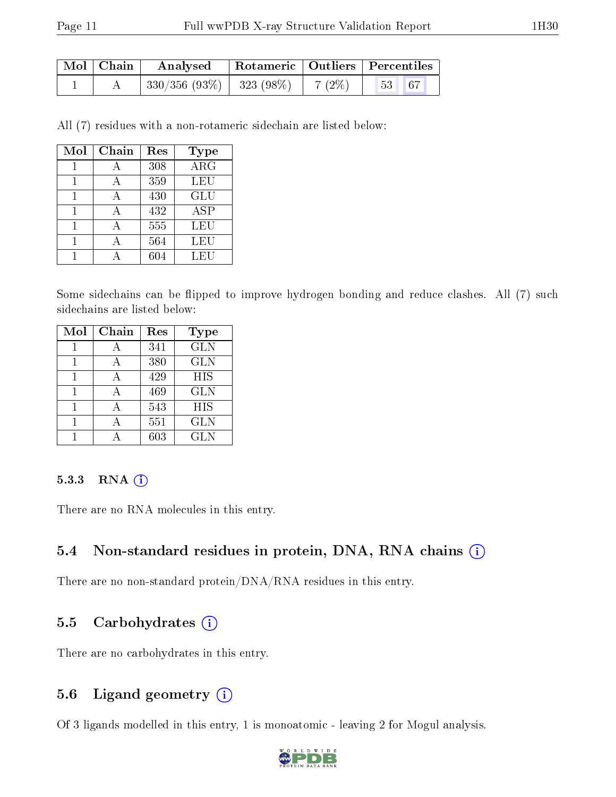| $\mid$ Mol $\mid$ Chain | Analysed                                                                                                                               |  | Rotameric   Outliers   Percentiles |  |
|-------------------------|----------------------------------------------------------------------------------------------------------------------------------------|--|------------------------------------|--|
|                         | $\begin{array}{ c c c c c c c c c } \hline \rule{0pt}{8ex} 330/356 & (93\% ) & 323 & (98\% ) & 7 & (2\% ) \hline \ \hline \end{array}$ |  | $53 \mid 67$                       |  |

All (7) residues with a non-rotameric sidechain are listed below:

| Mol | Chain | Res | <b>Type</b>      |
|-----|-------|-----|------------------|
|     |       | 308 | $AR\overline{G}$ |
|     |       | 359 | LEU              |
|     |       | 430 | <b>GLU</b>       |
|     |       | 432 | <b>ASP</b>       |
|     |       | 555 | LEU              |
|     |       | 564 | LEU              |
|     |       | 604 | LEU              |

Some sidechains can be flipped to improve hydrogen bonding and reduce clashes. All (7) such sidechains are listed below:

| Mol | Chain | Res | <b>Type</b> |
|-----|-------|-----|-------------|
|     |       | 341 | <b>GLN</b>  |
|     |       | 380 | <b>GLN</b>  |
|     |       | 429 | <b>HIS</b>  |
|     |       | 469 | <b>GLN</b>  |
|     |       | 543 | <b>HIS</b>  |
|     |       | 551 | <b>GLN</b>  |
|     |       | 603 | <b>GLN</b>  |

#### 5.3.3 RNA (i)

There are no RNA molecules in this entry.

#### 5.4 Non-standard residues in protein, DNA, RNA chains (i)

There are no non-standard protein/DNA/RNA residues in this entry.

### 5.5 Carbohydrates  $(i)$

There are no carbohydrates in this entry.

### 5.6 Ligand geometry (i)

Of 3 ligands modelled in this entry, 1 is monoatomic - leaving 2 for Mogul analysis.

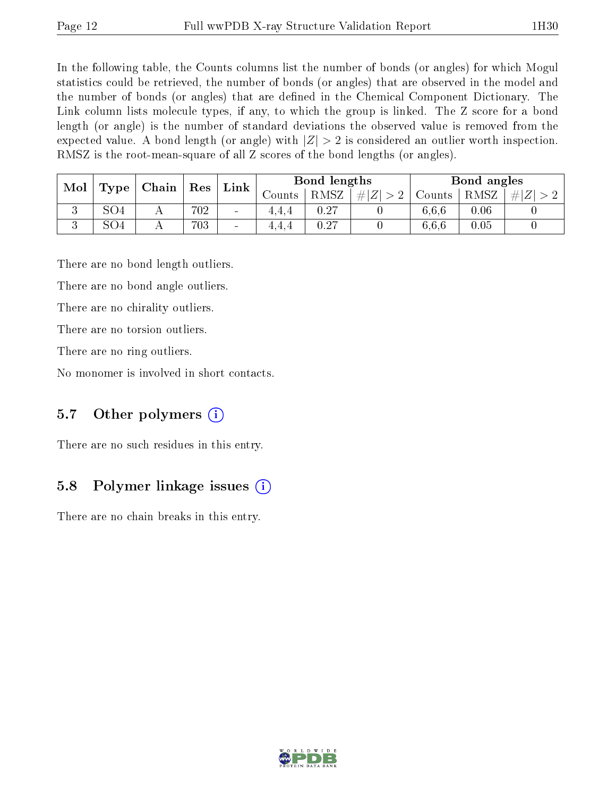In the following table, the Counts columns list the number of bonds (or angles) for which Mogul statistics could be retrieved, the number of bonds (or angles) that are observed in the model and the number of bonds (or angles) that are dened in the Chemical Component Dictionary. The Link column lists molecule types, if any, to which the group is linked. The Z score for a bond length (or angle) is the number of standard deviations the observed value is removed from the expected value. A bond length (or angle) with  $|Z| > 2$  is considered an outlier worth inspection. RMSZ is the root-mean-square of all Z scores of the bond lengths (or angles).

| Mol<br>Chain<br>Res |      | $\mathop{\rm Link}\nolimits$ | Bond lengths                 |        |      | Bond angles |        |          |               |
|---------------------|------|------------------------------|------------------------------|--------|------|-------------|--------|----------|---------------|
|                     | Type |                              |                              | Jounts | RMSZ | Z <br>#     | Counts | RMSZ     | #<br>$\Delta$ |
| ◡                   | SO4  | 702                          | $\qquad \qquad \blacksquare$ | 4,4,4  | 0.27 |             | 6.6.6  | $0.06\,$ |               |
|                     | SO4  | 703                          | $\qquad \qquad$              | 4,4,4  | 0.27 |             | 6,6,6  | $0.05\,$ |               |

There are no bond length outliers.

There are no bond angle outliers.

There are no chirality outliers.

There are no torsion outliers.

There are no ring outliers.

No monomer is involved in short contacts.

### 5.7 [O](https://www.wwpdb.org/validation/2017/XrayValidationReportHelp#nonstandard_residues_and_ligands)ther polymers  $(i)$

There are no such residues in this entry.

## 5.8 Polymer linkage issues (i)

There are no chain breaks in this entry.

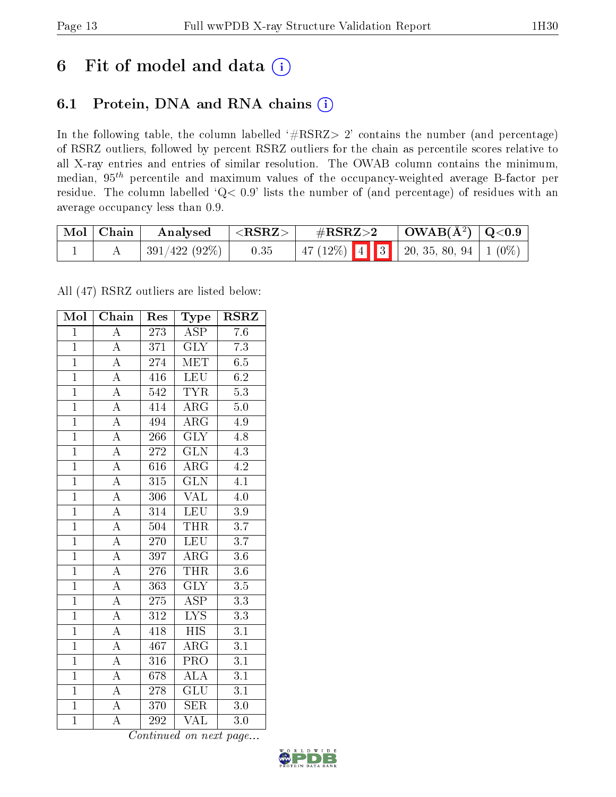# 6 Fit of model and data  $(i)$

## 6.1 Protein, DNA and RNA chains  $(i)$

In the following table, the column labelled  $#RSRZ> 2'$  contains the number (and percentage) of RSRZ outliers, followed by percent RSRZ outliers for the chain as percentile scores relative to all X-ray entries and entries of similar resolution. The OWAB column contains the minimum, median,  $95<sup>th</sup>$  percentile and maximum values of the occupancy-weighted average B-factor per residue. The column labelled ' $Q< 0.9$ ' lists the number of (and percentage) of residues with an average occupancy less than 0.9.

| Mol   Chain | Analysed      | $^{\circ}$ <rsrz> .</rsrz> | $\rm \#RSRZ{>}2$                          | $\vert$ OWAB( $\rm \AA^2$ ) $\vert$ Q<0.9 |  |
|-------------|---------------|----------------------------|-------------------------------------------|-------------------------------------------|--|
|             | 391/422 (92%) | 0.35                       | $\mid$ 47 (12%) 4 3 20, 35, 80, 94 1 (0%) |                                           |  |

All (47) RSRZ outliers are listed below:

| Mol            | $\overline{\text{Chain}}$ | Res              | Type                    | <b>RSRZ</b>      |
|----------------|---------------------------|------------------|-------------------------|------------------|
| $\mathbf{1}$   | $\overline{A}$            | 273              | <b>ASP</b>              | 7.6              |
| $\overline{1}$ | $\overline{A}$            | 371              | <b>GLY</b>              | $\overline{7.3}$ |
| $\overline{1}$ | $\overline{A}$            | $274\,$          | <b>MET</b>              | 6.5              |
| $\overline{1}$ | $\overline{A}$            | 416              | <b>LEU</b>              | $6.\overline{2}$ |
| $\overline{1}$ | $\overline{\rm A}$        | $\overline{542}$ | <b>TYR</b>              | $\overline{5.3}$ |
| $\overline{1}$ | $\overline{\rm A}$        | 414              | $AR\overline{G}$        | $\overline{5.0}$ |
| $\overline{1}$ | $\overline{A}$            | 494              | $\rm{ARG}$              | 4.9              |
| $\mathbf{1}$   | $\overline{A}$            | 266              | $\overline{\text{GLY}}$ | 4.8              |
| $\mathbf{1}$   | $\overline{A}$            | 272              | $\overline{\text{GLN}}$ | $4.3\,$          |
| $\overline{1}$ | $\overline{A}$            | 616              | $\overline{\rm{ARG}}$   | 4.2              |
| $\mathbf{1}$   | $\overline{A}$            | 315              | $\overline{\text{GLN}}$ | $4.\overline{1}$ |
| $\overline{1}$ | $\overline{\rm A}$        | $\overline{306}$ | $\overline{\text{VAL}}$ | $\overline{4.0}$ |
| $\overline{1}$ | $\overline{A}$            | 314              | LEU                     | 3.9              |
| $\overline{1}$ | $\overline{\rm A}$        | $\overline{504}$ | <b>THR</b>              | $\overline{3.7}$ |
| $\overline{1}$ | $\overline{A}$            | 270              | <b>LEU</b>              | $\overline{3.7}$ |
| $\overline{1}$ | $\overline{A}$            | 397              | $\rm{ARG}$              | $3.6\,$          |
| $\overline{1}$ | $\overline{\rm A}$        | 276              | <b>THR</b>              | $\overline{3.6}$ |
| $\overline{1}$ | $\overline{\rm A}$        | 363              | $\overline{\text{GLY}}$ | $\overline{3.5}$ |
| $\overline{1}$ | $\overline{A}$            | 275              | $\overline{\rm ASP}$    | $\overline{3.3}$ |
| $\overline{1}$ | $\overline{A}$            | 312              | $\overline{\text{LYS}}$ | $\overline{3.3}$ |
| $\overline{1}$ | $\overline{\rm A}$        | 418              | <b>HIS</b>              | $\overline{3.1}$ |
| $\mathbf{1}$   | $\overline{A}$            | 467              | $\overline{\rm{ARG}}$   | $\overline{3.1}$ |
| $\mathbf{1}$   | $\boldsymbol{A}$          | 316              | PRO                     | $\overline{3.1}$ |
| $\overline{1}$ | $\overline{A}$            | 678              | $\overline{ALA}$        | $\overline{3.1}$ |
| $\overline{1}$ | $\overline{\rm A}$        | 278              | $\overline{\text{GLU}}$ | $\overline{3.1}$ |
| $\mathbf{1}$   | A                         | 370              | <b>SER</b>              | 3.0              |
| $\overline{1}$ | $\overline{\rm A}$        | 292              | $\overline{\text{VAL}}$ | $\overline{3.0}$ |

Continued on next page...

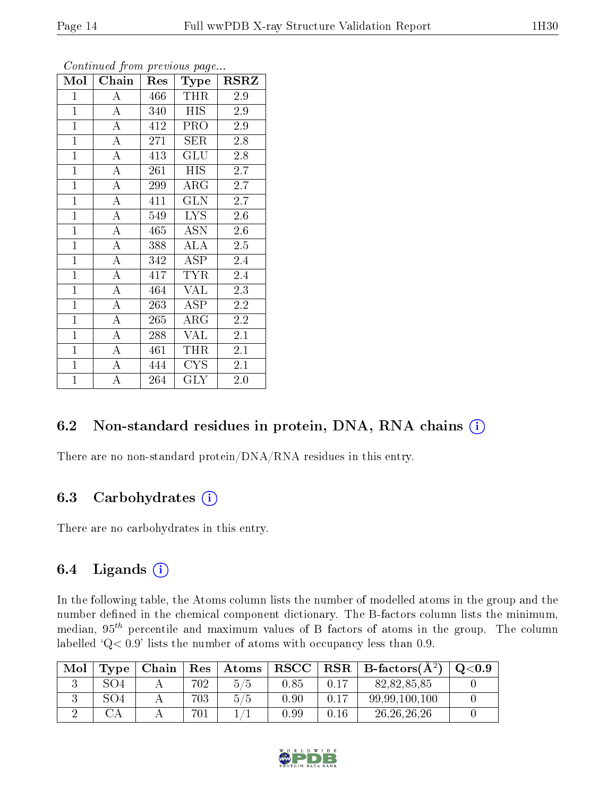| Mol            | Chain              | Res | Type        | <b>RSRZ</b> |
|----------------|--------------------|-----|-------------|-------------|
| $\mathbf{1}$   | А                  | 466 | <b>THR</b>  | 2.9         |
| $\mathbf{1}$   | A                  | 340 | <b>HIS</b>  | 2.9         |
| $\overline{1}$ | A                  | 412 | <b>PRO</b>  | 2.9         |
| $\mathbf{1}$   | $\mathbf{A}$       | 271 | SER         | 2.8         |
| $\overline{1}$ | $\overline{\rm A}$ | 413 | GLU         | 2.8         |
| $\mathbf{1}$   | $\boldsymbol{A}$   | 261 | <b>HIS</b>  | 2.7         |
| $\mathbf{1}$   | A                  | 299 | ${\rm ARG}$ | 2.7         |
| $\mathbf{1}$   | $\overline{\rm A}$ | 411 | <b>GLN</b>  | 2.7         |
| $\overline{1}$ | $\boldsymbol{A}$   | 549 | <b>LYS</b>  | 2.6         |
| $\mathbf{1}$   | A                  | 465 | <b>ASN</b>  | 2.6         |
| $\mathbf{1}$   | $\boldsymbol{A}$   | 388 | <b>ALA</b>  | 2.5         |
| $\overline{1}$ | A                  | 342 | ASP         | 2.4         |
| $\overline{1}$ | $\overline{\rm A}$ | 417 | TYR         | 2.4         |
| $\mathbf{1}$   | A                  | 464 | <b>VAL</b>  | 2.3         |
| $\overline{1}$ | $\overline{\rm A}$ | 263 | <b>ASP</b>  | 2.2         |
| $\overline{1}$ | $\boldsymbol{A}$   | 265 | $\rm{ARG}$  | 2.2         |
| $\overline{1}$ | $\overline{\rm A}$ | 288 | VAL         | 2.1         |
| $\mathbf{1}$   | A                  | 461 | THR         | 2.1         |
| $\mathbf{1}$   | A                  | 444 | <b>CYS</b>  | 2.1         |
| $\mathbf{1}$   | А                  | 264 | <b>GLY</b>  | 2.0         |

Continued from previous page...

### 6.2 Non-standard residues in protein, DNA, RNA chains (i)

There are no non-standard protein/DNA/RNA residues in this entry.

### 6.3 Carbohydrates (i)

There are no carbohydrates in this entry.

## 6.4 Ligands  $(i)$

In the following table, the Atoms column lists the number of modelled atoms in the group and the number defined in the chemical component dictionary. The B-factors column lists the minimum, median,  $95<sup>th</sup>$  percentile and maximum values of B factors of atoms in the group. The column labelled  $Q< 0.9$ ' lists the number of atoms with occupancy less than 0.9.

| Mol | Type | Chain | Res | Atoms                     | $_{\rm RSCC}$ | $_{\rm RSR}$ | $B\text{-factors}(\AA^2)$ | $\mathrm{O}{<}0.9$ |
|-----|------|-------|-----|---------------------------|---------------|--------------|---------------------------|--------------------|
|     | 804  |       | 702 | 45<br>5.                  | 0.85          |              | 82,82,85,85               |                    |
|     | 804  |       | 703 | $5^{\circ}$<br>$\sqrt{5}$ | 0.90          | 0.17         | 99,99,100,100             |                    |
|     |      |       | 701 |                           | 0.99          | 0.16         | 26, 26, 26, 26            |                    |